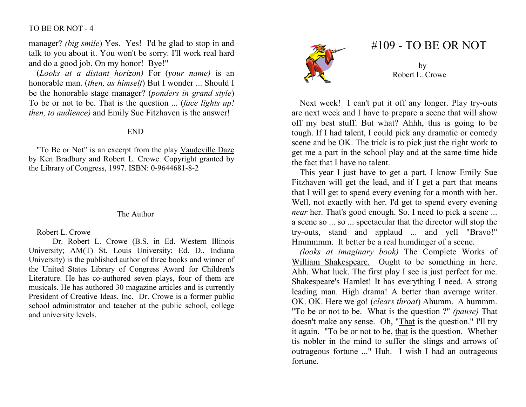### TO BE OR NOT - 4

manager? *(big smile)* Yes. Yes! I'd be glad to stop in and talk to you about it. You won't be sorry. I'll work real hard and do a good job. On my honor! Bye!"

 (Looks at a distant horizon) For (your name) is an honorable man. (then, as himself) But I wonder ... Should I be the honorable stage manager? (ponders in grand style) To be or not to be. That is the question ... (face lights up! then, to audience) and Emily Sue Fitzhaven is the answer!

## END

"To Be or Not" is an excerpt from the play Vaudeville Daze by Ken Bradbury and Robert L. Crowe. Copyright granted by the Library of Congress, 1997. ISBN: 0-9644681-8-2

#### The Author

#### Robert L. Crowe

 Dr. Robert L. Crowe (B.S. in Ed. Western Illinois University; AM(T) St. Louis University; Ed. D., Indiana University) is the published author of three books and winner of the United States Library of Congress Award for Children's Literature. He has co-authored seven plays, four of them are musicals. He has authored 30 magazine articles and is currently President of Creative Ideas, Inc. Dr. Crowe is a former public school administrator and teacher at the public school, college and university levels.



# #109 - TO BE OR NOT

by Robert L. Crowe

Next week! I can't put it off any longer. Play try-outs are next week and I have to prepare a scene that will show off my best stuff. But what? Ahhh, this is going to be tough. If I had talent, I could pick any dramatic or comedy scene and be OK. The trick is to pick just the right work to get me a part in the school play and at the same time hide the fact that I have no talent.

 This year I just have to get a part. I know Emily Sue Fitzhaven will get the lead, and if I get a part that means that I will get to spend every evening for a month with her. Well, not exactly with her. I'd get to spend every evening near her. That's good enough. So. I need to pick a scene ... a scene so ... so ... spectacular that the director will stop the try-outs, stand and applaud ... and yell "Bravo!" Hmmmmm. It better be a real humdinger of a scene.

(looks at imaginary book) The Complete Works of William Shakespeare. Ought to be something in here. Ahh. What luck. The first play I see is just perfect for me. Shakespeare's Hamlet! It has everything I need. A strong leading man. High drama! A better than average writer. OK. OK. Here we go! (clears throat) Ahumm. A hummm. "To be or not to be. What is the question ?" (pause) That doesn't make any sense. Oh, "That is the question." I'll try it again. "To be or not to be, that is the question. Whether tis nobler in the mind to suffer the slings and arrows of outrageous fortune ..." Huh. I wish I had an outrageous fortune.